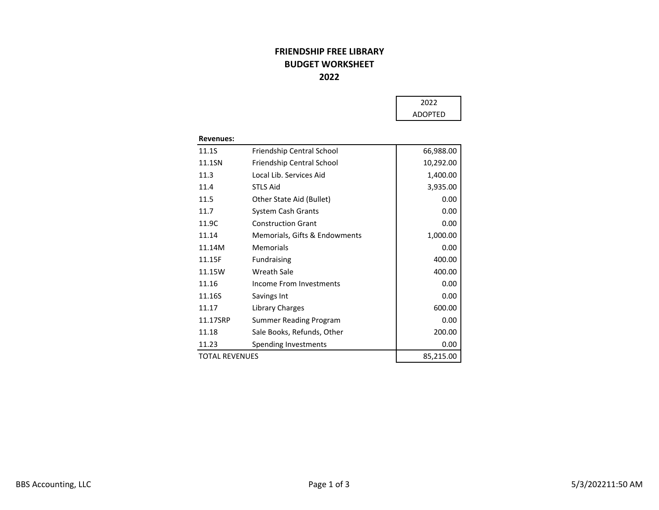## FRIENDSHIP FREE LIBRARYBUDGET WORKSHEET2022

| 2022           |  |
|----------------|--|
| <b>ADOPTED</b> |  |

| Friendship Central School     | 66,988.00 |
|-------------------------------|-----------|
| Friendship Central School     | 10,292.00 |
| Local Lib. Services Aid       | 1,400.00  |
| <b>STLS Aid</b>               | 3,935.00  |
| Other State Aid (Bullet)      | 0.00      |
| System Cash Grants            | 0.00      |
| <b>Construction Grant</b>     | 0.00      |
| Memorials, Gifts & Endowments | 1,000.00  |
| Memorials                     | 0.00      |
| <b>Fundraising</b>            | 400.00    |
| <b>Wreath Sale</b>            | 400.00    |
| Income From Investments       | 0.00      |
| Savings Int                   | 0.00      |
| Library Charges               | 600.00    |
| Summer Reading Program        | 0.00      |
| Sale Books, Refunds, Other    | 200.00    |
| Spending Investments          | 0.00      |
| <b>TOTAL REVENUES</b>         |           |
|                               |           |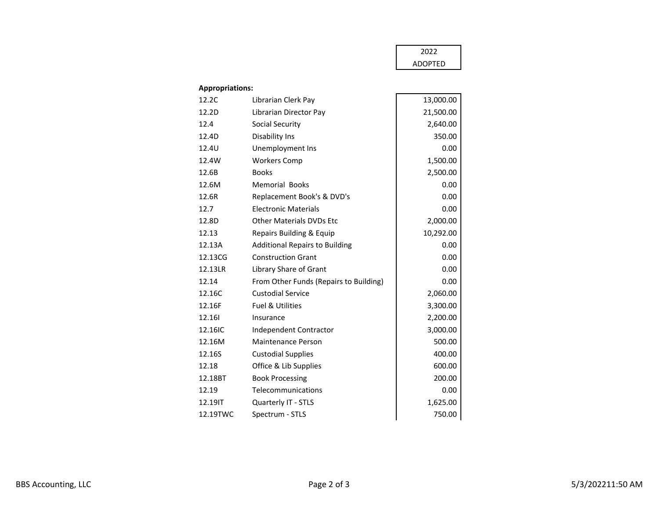## 2022ADOPTED

## Appropriations:

| 12.2C    | Librarian Clerk Pay                    | 13,000.00 |
|----------|----------------------------------------|-----------|
| 12.2D    | Librarian Director Pay                 | 21,500.00 |
| 12.4     | <b>Social Security</b>                 | 2,640.00  |
| 12.4D    | Disability Ins                         | 350.00    |
| 12.4U    | Unemployment Ins                       | 0.00      |
| 12.4W    | <b>Workers Comp</b>                    | 1,500.00  |
| 12.6B    | <b>Books</b>                           | 2,500.00  |
| 12.6M    | <b>Memorial Books</b>                  | 0.00      |
| 12.6R    | Replacement Book's & DVD's             | 0.00      |
| 12.7     | <b>Electronic Materials</b>            | 0.00      |
| 12.8D    | <b>Other Materials DVDs Etc</b>        | 2,000.00  |
| 12.13    | <b>Repairs Building &amp; Equip</b>    | 10,292.00 |
| 12.13A   | <b>Additional Repairs to Building</b>  | 0.00      |
| 12.13CG  | <b>Construction Grant</b>              | 0.00      |
| 12.13LR  | Library Share of Grant                 | 0.00      |
| 12.14    | From Other Funds (Repairs to Building) | 0.00      |
| 12.16C   | <b>Custodial Service</b>               | 2,060.00  |
| 12.16F   | <b>Fuel &amp; Utilities</b>            | 3,300.00  |
| 12.161   | Insurance                              | 2,200.00  |
| 12.16IC  | Independent Contractor                 | 3,000.00  |
| 12.16M   | <b>Maintenance Person</b>              | 500.00    |
| 12.16S   | <b>Custodial Supplies</b>              | 400.00    |
| 12.18    | Office & Lib Supplies                  | 600.00    |
| 12.18BT  | <b>Book Processing</b>                 | 200.00    |
| 12.19    | Telecommunications                     | 0.00      |
| 12.19IT  | Quarterly IT - STLS                    | 1,625.00  |
| 12.19TWC | Spectrum - STLS                        | 750.00    |